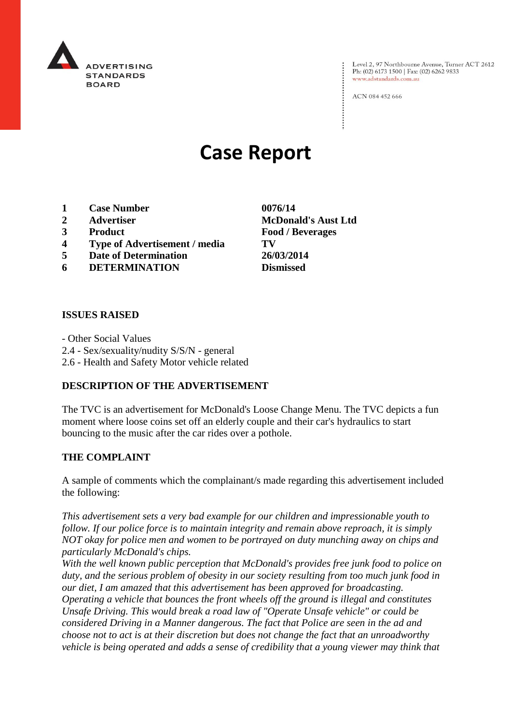

Level 2, 97 Northbourne Avenue, Turner ACT 2612 Ph: (02) 6173 1500 | Fax: (02) 6262 9833 www.adstandards.com.au

ACN 084 452 666

# **Case Report**

- **1 Case Number 0076/14**
- 
- 
- **4 Type of Advertisement / media TV**
- **5 Date of Determination 26/03/2014**
- **6 DETERMINATION Dismissed**

### **ISSUES RAISED**

- Other Social Values 2.4 - Sex/sexuality/nudity S/S/N - general 2.6 - Health and Safety Motor vehicle related

### **DESCRIPTION OF THE ADVERTISEMENT**

The TVC is an advertisement for McDonald's Loose Change Menu. The TVC depicts a fun moment where loose coins set off an elderly couple and their car's hydraulics to start bouncing to the music after the car rides over a pothole.

### **THE COMPLAINT**

A sample of comments which the complainant/s made regarding this advertisement included the following:

*This advertisement sets a very bad example for our children and impressionable youth to follow. If our police force is to maintain integrity and remain above reproach, it is simply NOT okay for police men and women to be portrayed on duty munching away on chips and particularly McDonald's chips.*

*With the well known public perception that McDonald's provides free junk food to police on duty, and the serious problem of obesity in our society resulting from too much junk food in our diet, I am amazed that this advertisement has been approved for broadcasting. Operating a vehicle that bounces the front wheels off the ground is illegal and constitutes Unsafe Driving. This would break a road law of "Operate Unsafe vehicle" or could be considered Driving in a Manner dangerous. The fact that Police are seen in the ad and choose not to act is at their discretion but does not change the fact that an unroadworthy vehicle is being operated and adds a sense of credibility that a young viewer may think that* 

**2 Advertiser McDonald's Aust Ltd 3 Product Food / Beverages**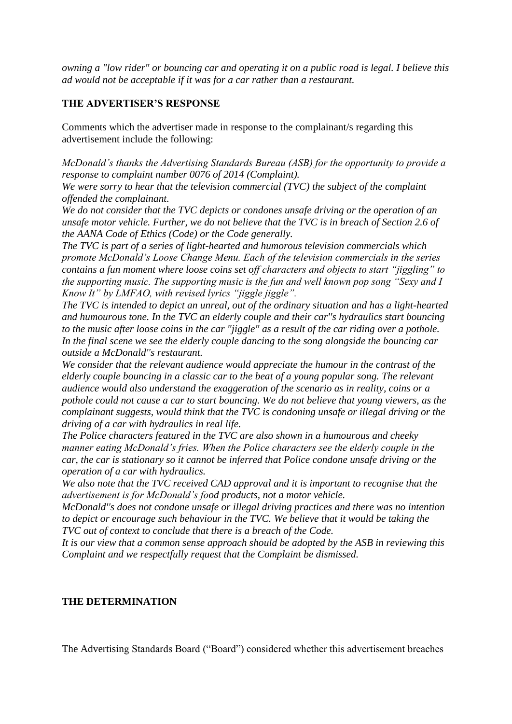*owning a "low rider" or bouncing car and operating it on a public road is legal. I believe this ad would not be acceptable if it was for a car rather than a restaurant.*

## **THE ADVERTISER'S RESPONSE**

Comments which the advertiser made in response to the complainant/s regarding this advertisement include the following:

*McDonald's thanks the Advertising Standards Bureau (ASB) for the opportunity to provide a response to complaint number 0076 of 2014 (Complaint).*

*We were sorry to hear that the television commercial (TVC) the subject of the complaint offended the complainant.*

*We do not consider that the TVC depicts or condones unsafe driving or the operation of an unsafe motor vehicle. Further, we do not believe that the TVC is in breach of Section 2.6 of the AANA Code of Ethics (Code) or the Code generally.*

*The TVC is part of a series of light-hearted and humorous television commercials which promote McDonald's Loose Change Menu. Each of the television commercials in the series contains a fun moment where loose coins set off characters and objects to start "jiggling" to the supporting music. The supporting music is the fun and well known pop song "Sexy and I Know It" by LMFAO, with revised lyrics "jiggle jiggle".*

*The TVC is intended to depict an unreal, out of the ordinary situation and has a light-hearted and humourous tone. In the TVC an elderly couple and their car''s hydraulics start bouncing to the music after loose coins in the car "jiggle" as a result of the car riding over a pothole. In the final scene we see the elderly couple dancing to the song alongside the bouncing car outside a McDonald''s restaurant.*

*We consider that the relevant audience would appreciate the humour in the contrast of the elderly couple bouncing in a classic car to the beat of a young popular song. The relevant audience would also understand the exaggeration of the scenario as in reality, coins or a pothole could not cause a car to start bouncing. We do not believe that young viewers, as the complainant suggests, would think that the TVC is condoning unsafe or illegal driving or the driving of a car with hydraulics in real life.*

*The Police characters featured in the TVC are also shown in a humourous and cheeky manner eating McDonald's fries. When the Police characters see the elderly couple in the car, the car is stationary so it cannot be inferred that Police condone unsafe driving or the operation of a car with hydraulics.*

*We also note that the TVC received CAD approval and it is important to recognise that the advertisement is for McDonald's food products, not a motor vehicle.*

*McDonald''s does not condone unsafe or illegal driving practices and there was no intention to depict or encourage such behaviour in the TVC. We believe that it would be taking the TVC out of context to conclude that there is a breach of the Code.*

*It is our view that a common sense approach should be adopted by the ASB in reviewing this Complaint and we respectfully request that the Complaint be dismissed.*

### **THE DETERMINATION**

The Advertising Standards Board ("Board") considered whether this advertisement breaches